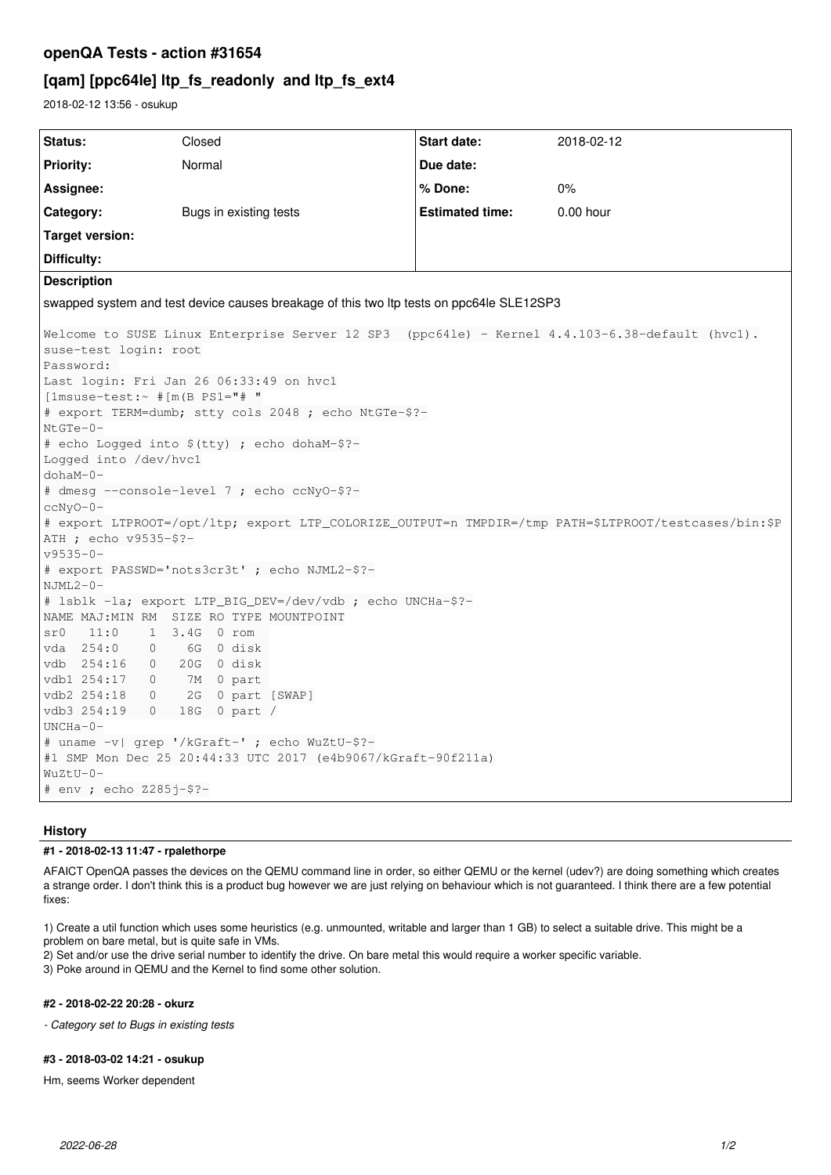## openQA Tests - action #31654

# [qam] [ppc64le] ltp\_fs\_readonly and ltp\_fs\_ext4

2018-02-12 13:56 - osukup

| Status:                                                                                                                                                                                                                                                                                                                                                                                                                                                                                                                                                                                                                                                                                                                                                                       | Closed                 | <b>Start date:</b>     | 2018-02-12  |
|-------------------------------------------------------------------------------------------------------------------------------------------------------------------------------------------------------------------------------------------------------------------------------------------------------------------------------------------------------------------------------------------------------------------------------------------------------------------------------------------------------------------------------------------------------------------------------------------------------------------------------------------------------------------------------------------------------------------------------------------------------------------------------|------------------------|------------------------|-------------|
| <b>Priority:</b>                                                                                                                                                                                                                                                                                                                                                                                                                                                                                                                                                                                                                                                                                                                                                              | Normal                 | Due date:              |             |
| Assignee:                                                                                                                                                                                                                                                                                                                                                                                                                                                                                                                                                                                                                                                                                                                                                                     |                        | % Done:                | $0\%$       |
| Category:                                                                                                                                                                                                                                                                                                                                                                                                                                                                                                                                                                                                                                                                                                                                                                     | Bugs in existing tests | <b>Estimated time:</b> | $0.00$ hour |
| <b>Target version:</b>                                                                                                                                                                                                                                                                                                                                                                                                                                                                                                                                                                                                                                                                                                                                                        |                        |                        |             |
| Difficulty:                                                                                                                                                                                                                                                                                                                                                                                                                                                                                                                                                                                                                                                                                                                                                                   |                        |                        |             |
| <b>Description</b>                                                                                                                                                                                                                                                                                                                                                                                                                                                                                                                                                                                                                                                                                                                                                            |                        |                        |             |
| swapped system and test device causes breakage of this two ltp tests on ppc64le SLE12SP3                                                                                                                                                                                                                                                                                                                                                                                                                                                                                                                                                                                                                                                                                      |                        |                        |             |
| Welcome to SUSE Linux Enterprise Server 12 SP3 (ppc641e) - Kernel 4.4.103-6.38-default (hvc1).<br>suse-test login: root<br>Password:<br>Last login: Fri Jan 26 06:33:49 on hvc1<br>$[1msuse-test:~ #[m(B PS1=" # "$<br># export TERM=dumb; stty cols 2048 ; echo NtGTe-\$?-<br>$NtGTe-0-$<br># echo Logged into \$(tty) ; echo dohaM-\$?-<br>Logged into /dev/hvc1<br>$dohaM-0-$<br># dmesq --console-level 7 ; echo ccNyO-\$?-<br>$ccNy0-0-$<br># export LTPROOT=/opt/ltp; export LTP_COLORIZE_OUTPUT=n TMPDIR=/tmp PATH=\$LTPROOT/testcases/bin:\$P<br>$ATH$ ; echo $v9535 - $? -$<br>$v9535 - 0 -$<br># export PASSWD='nots3cr3t' ; echo NJML2-\$?-<br>$NJML2-0-$<br># lsblk -la; export LTP_BIG_DEV=/dev/vdb; echo UNCHa-\$?-<br>NAME MAJ: MIN RM SIZE RO TYPE MOUNTPOINT |                        |                        |             |
| 11:0<br>1 3.4G 0 rom<br>sr0<br>$254:0$ 0<br>6G 0 disk<br>vda<br>vdb 254:16 0<br>20G 0 disk<br>vdb1 254:17<br>0 7M 0 part                                                                                                                                                                                                                                                                                                                                                                                                                                                                                                                                                                                                                                                      |                        |                        |             |
| 2G 0 part [SWAP]<br>vdb2 254:18<br>$\circ$<br>vdb3 254:19<br>18G 0 part /<br>$\Omega$<br>$UNCHa-0-$                                                                                                                                                                                                                                                                                                                                                                                                                                                                                                                                                                                                                                                                           |                        |                        |             |
| # uname -v  grep '/kGraft-' ; echo WuZtU-\$?-<br>#1 SMP Mon Dec 25 20:44:33 UTC 2017 (e4b9067/kGraft-90f211a)<br>WuZtU-0-<br># env ; echo Z285j-\$?-                                                                                                                                                                                                                                                                                                                                                                                                                                                                                                                                                                                                                          |                        |                        |             |

## **History**

## #1 - 2018-02-13 11:47 - rpalethorpe

AFAICT OpenQA passes the devices on the QEMU command line in order, so either QEMU or the kernel (udev?) are doing something which creates a strange order. I don't think this is a product bug however we are just relying on behaviour which is not guaranteed. I think there are a few potential fixes:

1) Create a util function which uses some heuristics (e.g. unmounted, writable and larger than 1 GB) to select a suitable drive. This might be a problem on bare metal, but is quite safe in VMs.

2) Set and/or use the drive serial number to identify the drive. On bare metal this would require a worker specific variable.

3) Poke around in QEMU and the Kernel to find some other solution.

#### #2 - 2018-02-22 20:28 - okurz

- Category set to Bugs in existing tests

#### #3 - 2018-03-02 14:21 - osukup

Hm, seems Worker dependent